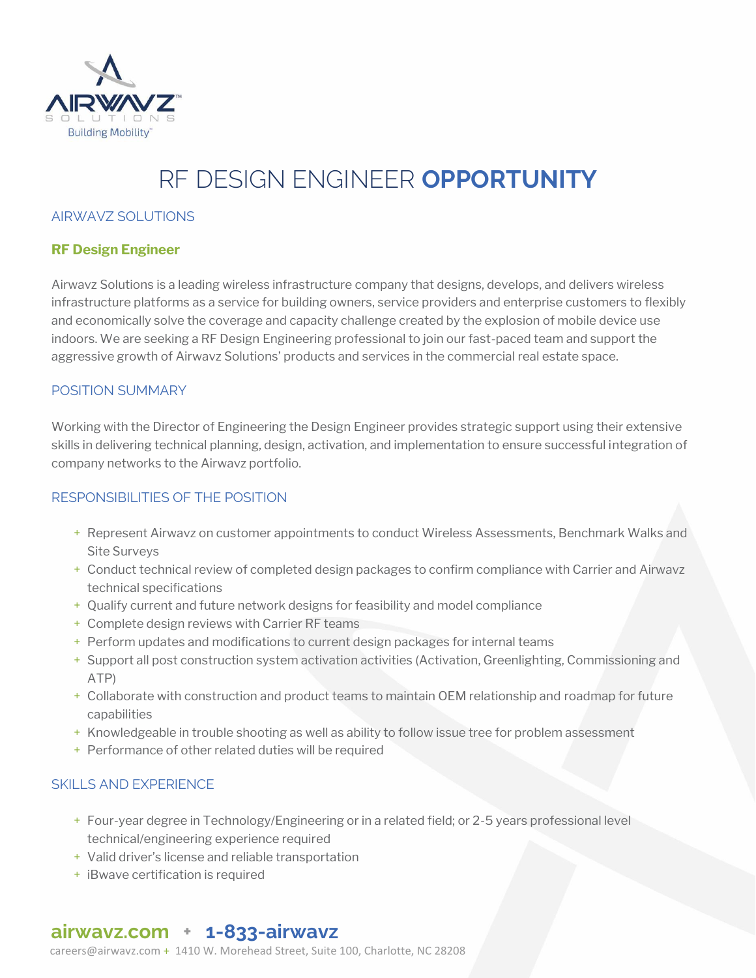

# RF DESIGN ENGINEER **OPPORTUNITY**

#### AIRWAVZ SOLUTIONS

#### **RF Design Engineer**

Airwavz Solutions is a leading wireless infrastructure company that designs, develops, and delivers wireless infrastructure platforms as a service for building owners, service providers and enterprise customers to flexibly and economically solve the coverage and capacity challenge created by the explosion of mobile device use indoors. We are seeking a RF Design Engineering professional to join our fast-paced team and support the aggressive growth of Airwavz Solutions' products and services in the commercial real estate space.

#### POSITION SUMMARY

Working with the Director of Engineering the Design Engineer provides strategic support using their extensive skills in delivering technical planning, design, activation, and implementation to ensure successful integration of company networks to the Airwavz portfolio.

#### RESPONSIBILITIES OF THE POSITION

- + Represent Airwavz on customer appointments to conduct Wireless Assessments, Benchmark Walks and Site Surveys
- + Conduct technical review of completed design packages to confirm compliance with Carrier and Airwavz technical specifications
- + Qualify current and future network designs for feasibility and model compliance
- + Complete design reviews with Carrier RF teams
- + Perform updates and modifications to current design packages for internal teams
- + Support all post construction system activation activities (Activation, Greenlighting, Commissioning and ATP)
- + Collaborate with construction and product teams to maintain OEM relationship and roadmap for future capabilities
- + Knowledgeable in trouble shooting as well as ability to follow issue tree for problem assessment
- + Performance of other related duties will be required

#### SKILLS AND EXPERIENCE

- + Four-year degree in Technology/Engineering or in a related field; or 2-5 years professional level technical/engineering experience required
- + Valid driver's license and reliable transportation
- + iBwave certification is required

### **airwavz.com + 1-833-airwavz**

[careers@airwavz.com](about:blank) + 1410 W. Morehead Street, Suite 100, Charlotte, NC 28208